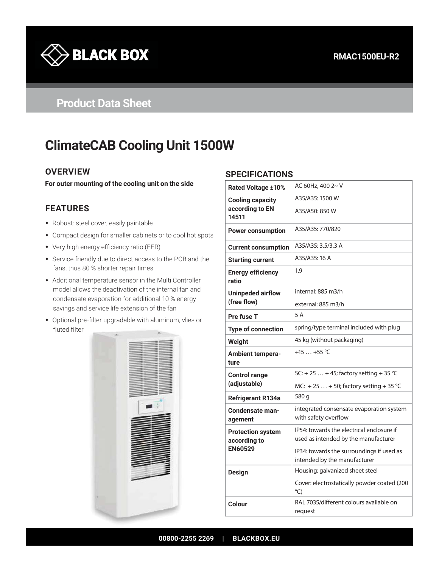

# **Product Data Sheet**

# **ClimateCAB Cooling Unit 1500W**

## **OVERVIEW**

**For outer mounting of the cooling unit on the side**

## **FEATURES**

- Robust: steel cover, easily paintable
- Compact design for smaller cabinets or to cool hot spots
- Very high energy efficiency ratio (EER)
- Service friendly due to direct access to the PCB and the fans, thus 80 % shorter repair times
- Additional temperature sensor in the Multi Controller model allows the deactivation of the internal fan and condensate evaporation for additional 10 % energy savings and service life extension of the fan
- Optional pre-filter upgradable with aluminum, vlies or fluted filter



#### **SPECIFICATIONS**

| <b>Rated Voltage ±10%</b>                | AC 60Hz, 400 2~ V                                                                 |
|------------------------------------------|-----------------------------------------------------------------------------------|
| <b>Cooling capacity</b>                  | A35/A35: 1500 W                                                                   |
| according to EN<br>14511                 | A35/A50: 850 W                                                                    |
| <b>Power consumption</b>                 | A35/A35: 770/820                                                                  |
| <b>Current consumption</b>               | A35/A35: 3.5/3.3 A                                                                |
| <b>Starting current</b>                  | A35/A35: 16 A                                                                     |
| <b>Energy efficiency</b><br>ratio        | 1.9                                                                               |
| Uninpeded airflow<br>(free flow)         | internal: 885 m3/h                                                                |
|                                          | external: 885 m3/h                                                                |
| Pre fuse T                               | 5 A                                                                               |
| <b>Type of connection</b>                | spring/type terminal included with plug                                           |
| Weight                                   | 45 kg (without packaging)                                                         |
| Ambient tempera-<br>ture                 | +15  +55 $^{\circ}$ C                                                             |
| <b>Control range</b>                     | SC: + 25  + 45; factory setting + 35 °C                                           |
| (adjustable)                             | MC: +25  +50; factory setting +35 °C                                              |
| <b>Refrigerant R134a</b>                 | 580 g                                                                             |
| Condensate man-<br>agement               | integrated consensate evaporation system<br>with safety overflow                  |
| <b>Protection system</b><br>according to | IP54: towards the electrical enclosure if<br>used as intended by the manufacturer |
| <b>EN60529</b>                           | IP34: towards the surroundings if used as<br>intended by the manufacturer         |
| <b>Design</b>                            | Housing: galvanized sheet steel                                                   |
|                                          | Cover: electrostatically powder coated (200<br>$^{\circ}$ C)                      |
| Colour                                   | RAL 7035/different colours available on<br>request                                |